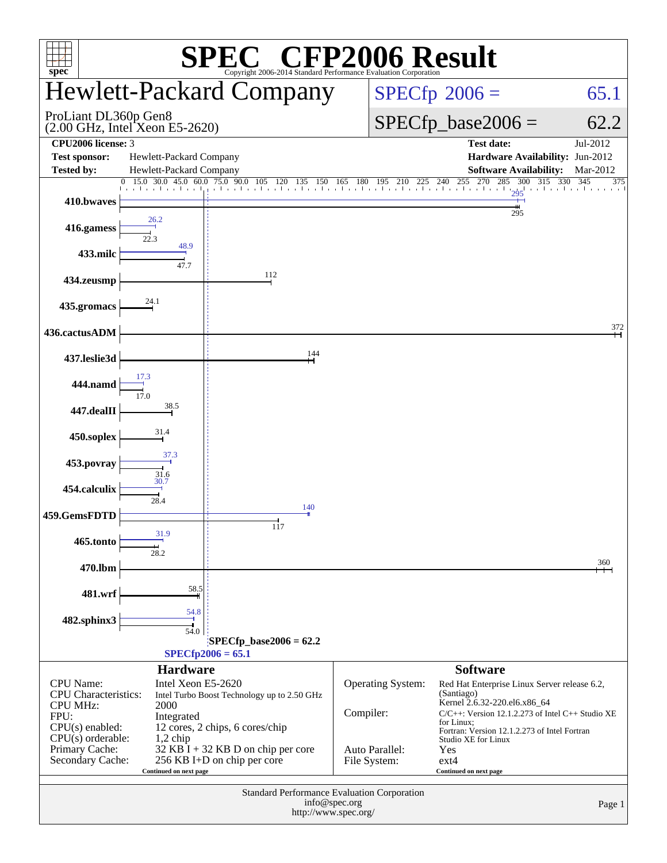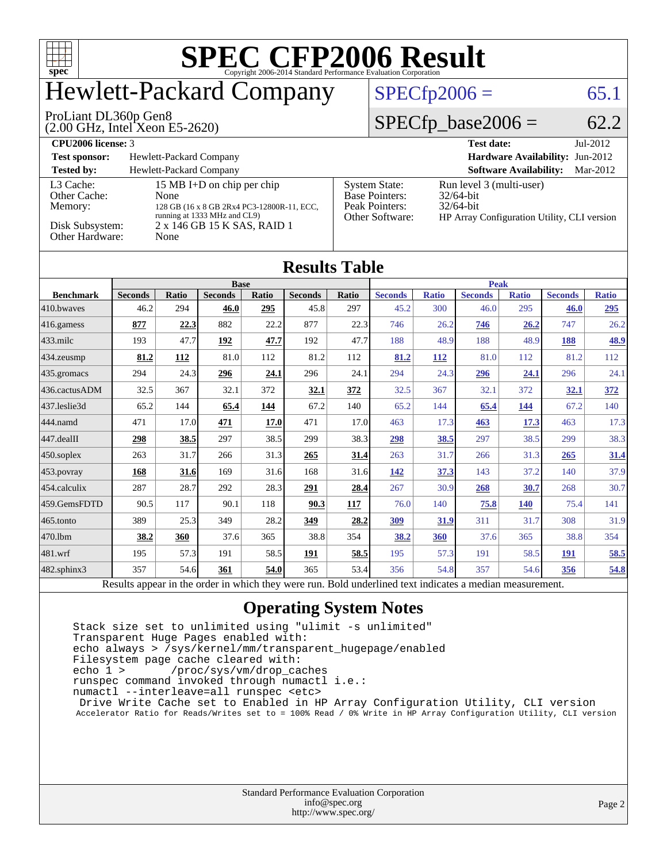

# Hewlett-Packard Company

(2.00 GHz, Intel Xeon E5-2620) ProLiant DL360p Gen8

 $SPECTp2006 = 65.1$ 

### $SPECfp\_base2006 = 62.2$

| CPU <sub>2006</sub> license: 3       |                                                                                                                  |                                                                                    | <b>Test date:</b><br>$Jul-2012$                                                                         |  |  |  |
|--------------------------------------|------------------------------------------------------------------------------------------------------------------|------------------------------------------------------------------------------------|---------------------------------------------------------------------------------------------------------|--|--|--|
| <b>Test sponsor:</b>                 | Hewlett-Packard Company                                                                                          |                                                                                    | <b>Hardware Availability: Jun-2012</b>                                                                  |  |  |  |
| <b>Tested by:</b>                    | Hewlett-Packard Company                                                                                          |                                                                                    | <b>Software Availability:</b><br>Mar-2012                                                               |  |  |  |
| L3 Cache:<br>Other Cache:<br>Memory: | 15 MB I+D on chip per chip<br>None<br>128 GB (16 x 8 GB 2Rx4 PC3-12800R-11, ECC,<br>running at 1333 MHz and CL9) | <b>System State:</b><br><b>Base Pointers:</b><br>Peak Pointers:<br>Other Software: | Run level 3 (multi-user)<br>$32/64$ -bit<br>$32/64$ -bit<br>HP Array Configuration Utility, CLI version |  |  |  |
| Disk Subsystem:<br>Other Hardware:   | 2 x 146 GB 15 K SAS, RAID 1<br>None                                                                              |                                                                                    |                                                                                                         |  |  |  |

| <b>Results Table</b>   |                |       |                |       |                |       |                |              |                |              |                |              |
|------------------------|----------------|-------|----------------|-------|----------------|-------|----------------|--------------|----------------|--------------|----------------|--------------|
|                        | <b>Base</b>    |       |                |       |                |       | <b>Peak</b>    |              |                |              |                |              |
| <b>Benchmark</b>       | <b>Seconds</b> | Ratio | <b>Seconds</b> | Ratio | <b>Seconds</b> | Ratio | <b>Seconds</b> | <b>Ratio</b> | <b>Seconds</b> | <b>Ratio</b> | <b>Seconds</b> | <b>Ratio</b> |
| 410.bwayes             | 46.2           | 294   | 46.0           | 295   | 45.8           | 297   | 45.2           | 300          | 46.0           | 295          | 46.0           | 295          |
| $ 416$ .gamess         | 877            | 22.3  | 882            | 22.2  | 877            | 22.3  | 746            | 26.2         | 746            | 26.2         | 747            | 26.2         |
| $433$ .milc            | 193            | 47.7  | 192            | 47.7  | 192            | 47.7  | 188            | 48.9         | 188            | 48.9         | 188            | 48.9         |
| $434$ . zeusmp         | 81.2           | 112   | 81.0           | 112   | 81.2           | 112   | 81.2           | 112          | 81.0           | 112          | 81.2           | 112          |
| $435$ .gromacs         | 294            | 24.3  | 296            | 24.1  | 296            | 24.1  | 294            | 24.3         | 296            | 24.1         | 296            | 24.1         |
| 436.cactusADM          | 32.5           | 367   | 32.1           | 372   | 32.1           | 372   | 32.5           | 367          | 32.1           | 372          | <u>32.1</u>    | 372          |
| 437.leslie3d           | 65.2           | 144   | 65.4           | 144   | 67.2           | 140   | 65.2           | 144          | 65.4           | 144          | 67.2           | 140          |
| 444.namd               | 471            | 17.0  | 471            | 17.0  | 471            | 17.0  | 463            | 17.3         | 463            | 17.3         | 463            | 17.3         |
| $ 447 \text{.}$ dealII | <u>298</u>     | 38.5  | 297            | 38.5  | 299            | 38.3  | <u>298</u>     | 38.5         | 297            | 38.5         | 299            | 38.3         |
| 450.soplex             | 263            | 31.7  | 266            | 31.3  | 265            | 31.4  | 263            | 31.7         | 266            | 31.3         | 265            | <u>31.4</u>  |
| $453$ .povray          | 168            | 31.6  | 169            | 31.6  | 168            | 31.6  | 142            | 37.3         | 143            | 37.2         | 140            | 37.9         |
| 454.calculix           | 287            | 28.7  | 292            | 28.3  | 291            | 28.4  | 267            | 30.9         | 268            | 30.7         | 268            | 30.7         |
| 459.GemsFDTD           | 90.5           | 117   | 90.1           | 118   | 90.3           | 117   | 76.0           | 140          | 75.8           | <b>140</b>   | 75.4           | 141          |
| 465.tonto              | 389            | 25.3  | 349            | 28.2  | 349            | 28.2  | 309            | 31.9         | 311            | 31.7         | 308            | 31.9         |
| 470.1bm                | 38.2           | 360   | 37.6           | 365   | 38.8           | 354   | 38.2           | 360          | 37.6           | 365          | 38.8           | 354          |
| 481.wrf                | 195            | 57.3  | 191            | 58.5  | 191            | 58.5  | 195            | 57.3         | 191            | 58.5         | <b>191</b>     | 58.5         |
| 482.sphinx3            | 357            | 54.6  | 361            | 54.0  | 365            | 53.4  | 356            | 54.8         | 357            | 54.6         | 356            | 54.8         |

Results appear in the [order in which they were run.](http://www.spec.org/auto/cpu2006/Docs/result-fields.html#RunOrder) Bold underlined text [indicates a median measurement.](http://www.spec.org/auto/cpu2006/Docs/result-fields.html#Median)

#### **[Operating System Notes](http://www.spec.org/auto/cpu2006/Docs/result-fields.html#OperatingSystemNotes)**

 Stack size set to unlimited using "ulimit -s unlimited" Transparent Huge Pages enabled with: echo always > /sys/kernel/mm/transparent\_hugepage/enabled Filesystem page cache cleared with:<br>echo 1 > /proc/sys/vm/drop ca /proc/sys/vm/drop\_caches runspec command invoked through numactl i.e.: numactl --interleave=all runspec <etc> Drive Write Cache set to Enabled in HP Array Configuration Utility, CLI version Accelerator Ratio for Reads/Writes set to = 100% Read / 0% Write in HP Array Configuration Utility, CLI version

| <b>Standard Performance Evaluation Corporation</b> |
|----------------------------------------------------|
| info@spec.org                                      |
| http://www.spec.org/                               |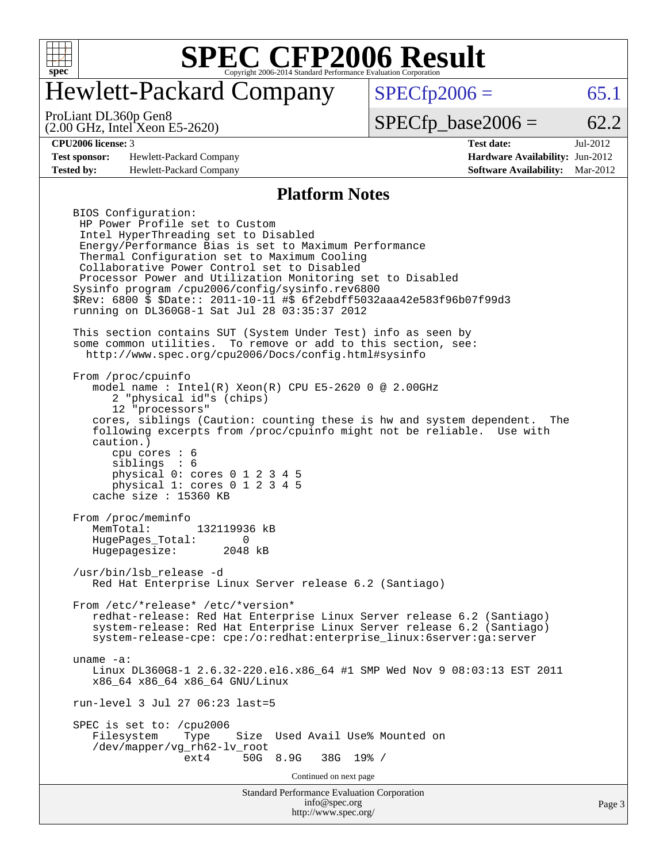

# Hewlett-Packard Company

 $SPECfp2006 = 65.1$  $SPECfp2006 = 65.1$ 

(2.00 GHz, Intel Xeon E5-2620) ProLiant DL360p Gen8

 $SPECTp\_base2006 = 62.2$ 

**[Test sponsor:](http://www.spec.org/auto/cpu2006/Docs/result-fields.html#Testsponsor)** Hewlett-Packard Company **[Hardware Availability:](http://www.spec.org/auto/cpu2006/Docs/result-fields.html#HardwareAvailability)** Jun-2012 **[Tested by:](http://www.spec.org/auto/cpu2006/Docs/result-fields.html#Testedby)** Hewlett-Packard Company **[Software Availability:](http://www.spec.org/auto/cpu2006/Docs/result-fields.html#SoftwareAvailability)** Mar-2012

**[CPU2006 license:](http://www.spec.org/auto/cpu2006/Docs/result-fields.html#CPU2006license)** 3 **[Test date:](http://www.spec.org/auto/cpu2006/Docs/result-fields.html#Testdate)** Jul-2012

#### **[Platform Notes](http://www.spec.org/auto/cpu2006/Docs/result-fields.html#PlatformNotes)**

Standard Performance Evaluation Corporation BIOS Configuration: HP Power Profile set to Custom Intel HyperThreading set to Disabled Energy/Performance Bias is set to Maximum Performance Thermal Configuration set to Maximum Cooling Collaborative Power Control set to Disabled Processor Power and Utilization Monitoring set to Disabled Sysinfo program /cpu2006/config/sysinfo.rev6800 \$Rev: 6800 \$ \$Date:: 2011-10-11 #\$ 6f2ebdff5032aaa42e583f96b07f99d3 running on DL360G8-1 Sat Jul 28 03:35:37 2012 This section contains SUT (System Under Test) info as seen by some common utilities. To remove or add to this section, see: <http://www.spec.org/cpu2006/Docs/config.html#sysinfo> From /proc/cpuinfo model name : Intel(R) Xeon(R) CPU E5-2620 0 @ 2.00GHz 2 "physical id"s (chips) 12 "processors" cores, siblings (Caution: counting these is hw and system dependent. The following excerpts from /proc/cpuinfo might not be reliable. Use with caution.) cpu cores : 6 siblings : 6 physical 0: cores 0 1 2 3 4 5 physical 1: cores 0 1 2 3 4 5 cache size : 15360 KB From /proc/meminfo MemTotal: 132119936 kB HugePages\_Total: 0<br>Hugepagesize: 2048 kB Hugepagesize: /usr/bin/lsb\_release -d Red Hat Enterprise Linux Server release 6.2 (Santiago) From /etc/\*release\* /etc/\*version\* redhat-release: Red Hat Enterprise Linux Server release 6.2 (Santiago) system-release: Red Hat Enterprise Linux Server release 6.2 (Santiago) system-release-cpe: cpe:/o:redhat:enterprise\_linux:6server:ga:server uname -a: Linux DL360G8-1 2.6.32-220.el6.x86\_64 #1 SMP Wed Nov 9 08:03:13 EST 2011 x86\_64 x86\_64 x86\_64 GNU/Linux run-level 3 Jul 27 06:23 last=5 SPEC is set to: /cpu2006 Filesystem Type Size Used Avail Use% Mounted on /dev/mapper/vg\_rh62-lv\_root ext4 50G 8.9G 38G 19% / Continued on next page

[info@spec.org](mailto:info@spec.org) <http://www.spec.org/>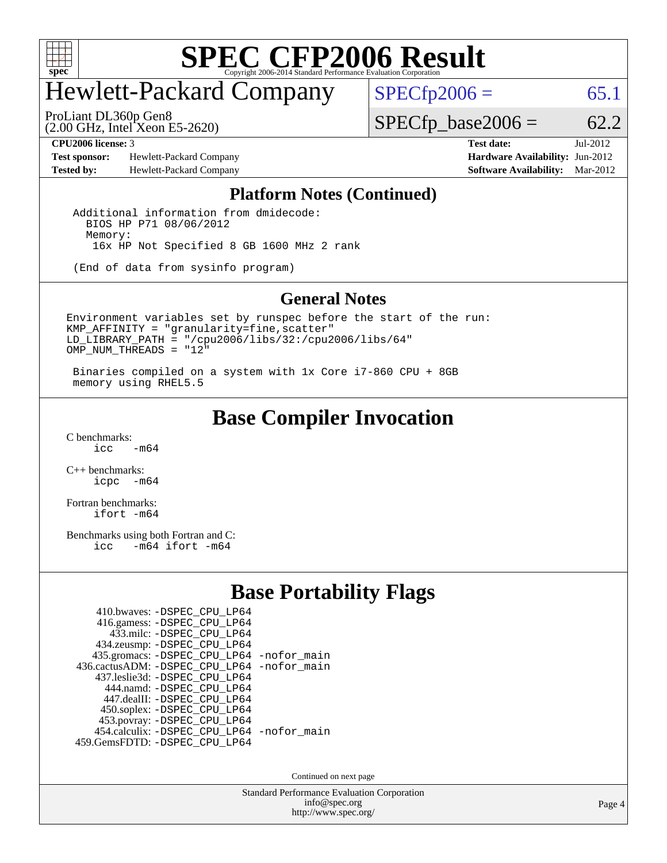

# Hewlett-Packard Company

 $SPECfp2006 = 65.1$  $SPECfp2006 = 65.1$ 

(2.00 GHz, Intel Xeon E5-2620) ProLiant DL360p Gen8

 $SPECfp\_base2006 = 62.2$ 

**[Test sponsor:](http://www.spec.org/auto/cpu2006/Docs/result-fields.html#Testsponsor)** Hewlett-Packard Company **[Hardware Availability:](http://www.spec.org/auto/cpu2006/Docs/result-fields.html#HardwareAvailability)** Jun-2012 **[Tested by:](http://www.spec.org/auto/cpu2006/Docs/result-fields.html#Testedby)** Hewlett-Packard Company **[Software Availability:](http://www.spec.org/auto/cpu2006/Docs/result-fields.html#SoftwareAvailability)** Mar-2012

**[CPU2006 license:](http://www.spec.org/auto/cpu2006/Docs/result-fields.html#CPU2006license)** 3 **[Test date:](http://www.spec.org/auto/cpu2006/Docs/result-fields.html#Testdate)** Jul-2012

#### **[Platform Notes \(Continued\)](http://www.spec.org/auto/cpu2006/Docs/result-fields.html#PlatformNotes)**

 Additional information from dmidecode: BIOS HP P71 08/06/2012 Memory: 16x HP Not Specified 8 GB 1600 MHz 2 rank

(End of data from sysinfo program)

#### **[General Notes](http://www.spec.org/auto/cpu2006/Docs/result-fields.html#GeneralNotes)**

Environment variables set by runspec before the start of the run: KMP\_AFFINITY = "granularity=fine,scatter" LD\_LIBRARY\_PATH = "/cpu2006/libs/32:/cpu2006/libs/64" OMP NUM THREADS =  $"12"$ 

 Binaries compiled on a system with 1x Core i7-860 CPU + 8GB memory using RHEL5.5

### **[Base Compiler Invocation](http://www.spec.org/auto/cpu2006/Docs/result-fields.html#BaseCompilerInvocation)**

 $C$  benchmarks:<br>icc  $-m64$ 

[C++ benchmarks:](http://www.spec.org/auto/cpu2006/Docs/result-fields.html#CXXbenchmarks) [icpc -m64](http://www.spec.org/cpu2006/results/res2012q3/cpu2006-20120730-23967.flags.html#user_CXXbase_intel_icpc_64bit_bedb90c1146cab66620883ef4f41a67e)

[Fortran benchmarks](http://www.spec.org/auto/cpu2006/Docs/result-fields.html#Fortranbenchmarks): [ifort -m64](http://www.spec.org/cpu2006/results/res2012q3/cpu2006-20120730-23967.flags.html#user_FCbase_intel_ifort_64bit_ee9d0fb25645d0210d97eb0527dcc06e)

[Benchmarks using both Fortran and C](http://www.spec.org/auto/cpu2006/Docs/result-fields.html#BenchmarksusingbothFortranandC): [icc -m64](http://www.spec.org/cpu2006/results/res2012q3/cpu2006-20120730-23967.flags.html#user_CC_FCbase_intel_icc_64bit_0b7121f5ab7cfabee23d88897260401c) [ifort -m64](http://www.spec.org/cpu2006/results/res2012q3/cpu2006-20120730-23967.flags.html#user_CC_FCbase_intel_ifort_64bit_ee9d0fb25645d0210d97eb0527dcc06e)

### **[Base Portability Flags](http://www.spec.org/auto/cpu2006/Docs/result-fields.html#BasePortabilityFlags)**

| 410.bwaves: -DSPEC CPU LP64                |  |
|--------------------------------------------|--|
| 416.gamess: -DSPEC_CPU_LP64                |  |
| 433.milc: -DSPEC CPU LP64                  |  |
| 434.zeusmp: -DSPEC_CPU_LP64                |  |
| 435.gromacs: -DSPEC_CPU_LP64 -nofor_main   |  |
| 436.cactusADM: -DSPEC CPU LP64 -nofor main |  |
| 437.leslie3d: -DSPEC CPU LP64              |  |
| 444.namd: - DSPEC CPU LP64                 |  |
| 447.dealII: -DSPEC_CPU LP64                |  |
| 450.soplex: -DSPEC_CPU_LP64                |  |
| 453.povray: -DSPEC_CPU_LP64                |  |
| 454.calculix: - DSPEC_CPU_LP64 -nofor_main |  |
| 459. GemsFDTD: - DSPEC CPU LP64            |  |

Continued on next page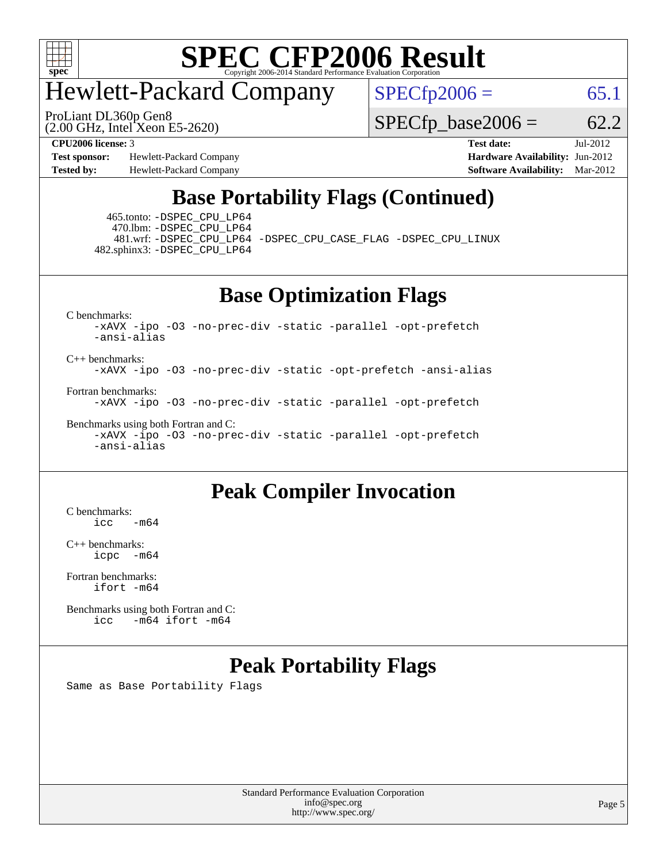

# Hewlett-Packard Company

ProLiant DL360p Gen8

 $SPECTp2006 = 65.1$ 

(2.00 GHz, Intel Xeon E5-2620)

 $SPECfp\_base2006 = 62.2$ 

**[Test sponsor:](http://www.spec.org/auto/cpu2006/Docs/result-fields.html#Testsponsor)** Hewlett-Packard Company **[Hardware Availability:](http://www.spec.org/auto/cpu2006/Docs/result-fields.html#HardwareAvailability)** Jun-2012 **[Tested by:](http://www.spec.org/auto/cpu2006/Docs/result-fields.html#Testedby)** Hewlett-Packard Company **[Software Availability:](http://www.spec.org/auto/cpu2006/Docs/result-fields.html#SoftwareAvailability)** Mar-2012

**[CPU2006 license:](http://www.spec.org/auto/cpu2006/Docs/result-fields.html#CPU2006license)** 3 **[Test date:](http://www.spec.org/auto/cpu2006/Docs/result-fields.html#Testdate)** Jul-2012

## **[Base Portability Flags \(Continued\)](http://www.spec.org/auto/cpu2006/Docs/result-fields.html#BasePortabilityFlags)**

 465.tonto: [-DSPEC\\_CPU\\_LP64](http://www.spec.org/cpu2006/results/res2012q3/cpu2006-20120730-23967.flags.html#suite_basePORTABILITY465_tonto_DSPEC_CPU_LP64) 470.lbm: [-DSPEC\\_CPU\\_LP64](http://www.spec.org/cpu2006/results/res2012q3/cpu2006-20120730-23967.flags.html#suite_basePORTABILITY470_lbm_DSPEC_CPU_LP64) 482.sphinx3: [-DSPEC\\_CPU\\_LP64](http://www.spec.org/cpu2006/results/res2012q3/cpu2006-20120730-23967.flags.html#suite_basePORTABILITY482_sphinx3_DSPEC_CPU_LP64)

481.wrf: [-DSPEC\\_CPU\\_LP64](http://www.spec.org/cpu2006/results/res2012q3/cpu2006-20120730-23967.flags.html#suite_basePORTABILITY481_wrf_DSPEC_CPU_LP64) [-DSPEC\\_CPU\\_CASE\\_FLAG](http://www.spec.org/cpu2006/results/res2012q3/cpu2006-20120730-23967.flags.html#b481.wrf_baseCPORTABILITY_DSPEC_CPU_CASE_FLAG) [-DSPEC\\_CPU\\_LINUX](http://www.spec.org/cpu2006/results/res2012q3/cpu2006-20120730-23967.flags.html#b481.wrf_baseCPORTABILITY_DSPEC_CPU_LINUX)

**[Base Optimization Flags](http://www.spec.org/auto/cpu2006/Docs/result-fields.html#BaseOptimizationFlags)**

[C benchmarks](http://www.spec.org/auto/cpu2006/Docs/result-fields.html#Cbenchmarks):

[-xAVX](http://www.spec.org/cpu2006/results/res2012q3/cpu2006-20120730-23967.flags.html#user_CCbase_f-xAVX) [-ipo](http://www.spec.org/cpu2006/results/res2012q3/cpu2006-20120730-23967.flags.html#user_CCbase_f-ipo) [-O3](http://www.spec.org/cpu2006/results/res2012q3/cpu2006-20120730-23967.flags.html#user_CCbase_f-O3) [-no-prec-div](http://www.spec.org/cpu2006/results/res2012q3/cpu2006-20120730-23967.flags.html#user_CCbase_f-no-prec-div) [-static](http://www.spec.org/cpu2006/results/res2012q3/cpu2006-20120730-23967.flags.html#user_CCbase_f-static) [-parallel](http://www.spec.org/cpu2006/results/res2012q3/cpu2006-20120730-23967.flags.html#user_CCbase_f-parallel) [-opt-prefetch](http://www.spec.org/cpu2006/results/res2012q3/cpu2006-20120730-23967.flags.html#user_CCbase_f-opt-prefetch) [-ansi-alias](http://www.spec.org/cpu2006/results/res2012q3/cpu2006-20120730-23967.flags.html#user_CCbase_f-ansi-alias)

[C++ benchmarks:](http://www.spec.org/auto/cpu2006/Docs/result-fields.html#CXXbenchmarks) [-xAVX](http://www.spec.org/cpu2006/results/res2012q3/cpu2006-20120730-23967.flags.html#user_CXXbase_f-xAVX) [-ipo](http://www.spec.org/cpu2006/results/res2012q3/cpu2006-20120730-23967.flags.html#user_CXXbase_f-ipo) [-O3](http://www.spec.org/cpu2006/results/res2012q3/cpu2006-20120730-23967.flags.html#user_CXXbase_f-O3) [-no-prec-div](http://www.spec.org/cpu2006/results/res2012q3/cpu2006-20120730-23967.flags.html#user_CXXbase_f-no-prec-div) [-static](http://www.spec.org/cpu2006/results/res2012q3/cpu2006-20120730-23967.flags.html#user_CXXbase_f-static) [-opt-prefetch](http://www.spec.org/cpu2006/results/res2012q3/cpu2006-20120730-23967.flags.html#user_CXXbase_f-opt-prefetch) [-ansi-alias](http://www.spec.org/cpu2006/results/res2012q3/cpu2006-20120730-23967.flags.html#user_CXXbase_f-ansi-alias)

[Fortran benchmarks](http://www.spec.org/auto/cpu2006/Docs/result-fields.html#Fortranbenchmarks):

[-xAVX](http://www.spec.org/cpu2006/results/res2012q3/cpu2006-20120730-23967.flags.html#user_FCbase_f-xAVX) [-ipo](http://www.spec.org/cpu2006/results/res2012q3/cpu2006-20120730-23967.flags.html#user_FCbase_f-ipo) [-O3](http://www.spec.org/cpu2006/results/res2012q3/cpu2006-20120730-23967.flags.html#user_FCbase_f-O3) [-no-prec-div](http://www.spec.org/cpu2006/results/res2012q3/cpu2006-20120730-23967.flags.html#user_FCbase_f-no-prec-div) [-static](http://www.spec.org/cpu2006/results/res2012q3/cpu2006-20120730-23967.flags.html#user_FCbase_f-static) [-parallel](http://www.spec.org/cpu2006/results/res2012q3/cpu2006-20120730-23967.flags.html#user_FCbase_f-parallel) [-opt-prefetch](http://www.spec.org/cpu2006/results/res2012q3/cpu2006-20120730-23967.flags.html#user_FCbase_f-opt-prefetch)

[Benchmarks using both Fortran and C](http://www.spec.org/auto/cpu2006/Docs/result-fields.html#BenchmarksusingbothFortranandC):

[-xAVX](http://www.spec.org/cpu2006/results/res2012q3/cpu2006-20120730-23967.flags.html#user_CC_FCbase_f-xAVX) [-ipo](http://www.spec.org/cpu2006/results/res2012q3/cpu2006-20120730-23967.flags.html#user_CC_FCbase_f-ipo) [-O3](http://www.spec.org/cpu2006/results/res2012q3/cpu2006-20120730-23967.flags.html#user_CC_FCbase_f-O3) [-no-prec-div](http://www.spec.org/cpu2006/results/res2012q3/cpu2006-20120730-23967.flags.html#user_CC_FCbase_f-no-prec-div) [-static](http://www.spec.org/cpu2006/results/res2012q3/cpu2006-20120730-23967.flags.html#user_CC_FCbase_f-static) [-parallel](http://www.spec.org/cpu2006/results/res2012q3/cpu2006-20120730-23967.flags.html#user_CC_FCbase_f-parallel) [-opt-prefetch](http://www.spec.org/cpu2006/results/res2012q3/cpu2006-20120730-23967.flags.html#user_CC_FCbase_f-opt-prefetch) [-ansi-alias](http://www.spec.org/cpu2006/results/res2012q3/cpu2006-20120730-23967.flags.html#user_CC_FCbase_f-ansi-alias)

### **[Peak Compiler Invocation](http://www.spec.org/auto/cpu2006/Docs/result-fields.html#PeakCompilerInvocation)**

[C benchmarks](http://www.spec.org/auto/cpu2006/Docs/result-fields.html#Cbenchmarks):  $\text{icc}$  -m64

[C++ benchmarks:](http://www.spec.org/auto/cpu2006/Docs/result-fields.html#CXXbenchmarks) [icpc -m64](http://www.spec.org/cpu2006/results/res2012q3/cpu2006-20120730-23967.flags.html#user_CXXpeak_intel_icpc_64bit_bedb90c1146cab66620883ef4f41a67e)

[Fortran benchmarks](http://www.spec.org/auto/cpu2006/Docs/result-fields.html#Fortranbenchmarks): [ifort -m64](http://www.spec.org/cpu2006/results/res2012q3/cpu2006-20120730-23967.flags.html#user_FCpeak_intel_ifort_64bit_ee9d0fb25645d0210d97eb0527dcc06e)

[Benchmarks using both Fortran and C](http://www.spec.org/auto/cpu2006/Docs/result-fields.html#BenchmarksusingbothFortranandC): [icc -m64](http://www.spec.org/cpu2006/results/res2012q3/cpu2006-20120730-23967.flags.html#user_CC_FCpeak_intel_icc_64bit_0b7121f5ab7cfabee23d88897260401c) [ifort -m64](http://www.spec.org/cpu2006/results/res2012q3/cpu2006-20120730-23967.flags.html#user_CC_FCpeak_intel_ifort_64bit_ee9d0fb25645d0210d97eb0527dcc06e)

### **[Peak Portability Flags](http://www.spec.org/auto/cpu2006/Docs/result-fields.html#PeakPortabilityFlags)**

Same as Base Portability Flags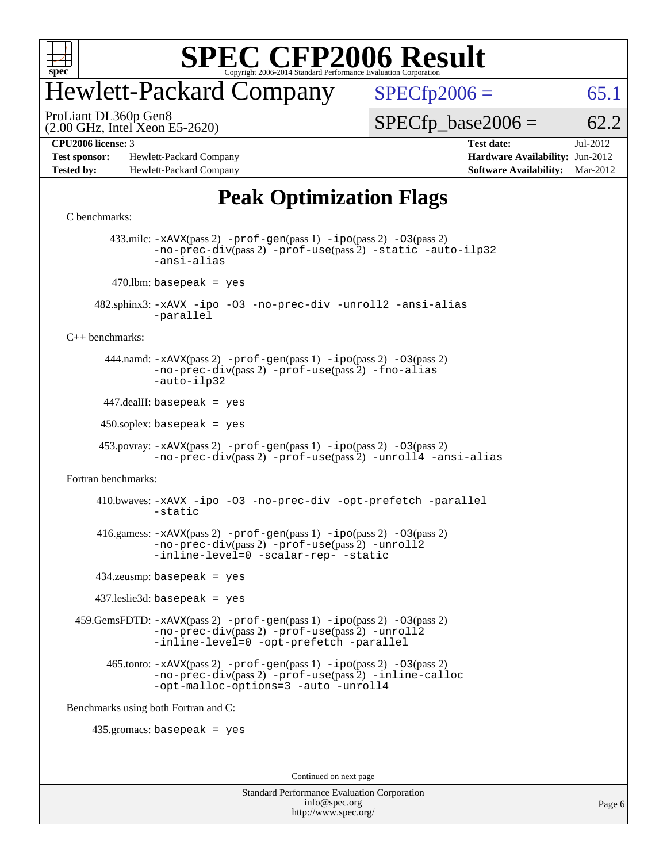

## Hewlett-Packard Company

 $SPECfp2006 = 65.1$  $SPECfp2006 = 65.1$ 

(2.00 GHz, Intel Xeon E5-2620) ProLiant DL360p Gen8

 $SPECTp\_base2006 = 62.2$ 

**[Test sponsor:](http://www.spec.org/auto/cpu2006/Docs/result-fields.html#Testsponsor)** Hewlett-Packard Company **[Hardware Availability:](http://www.spec.org/auto/cpu2006/Docs/result-fields.html#HardwareAvailability)** Jun-2012 **[Tested by:](http://www.spec.org/auto/cpu2006/Docs/result-fields.html#Testedby)** Hewlett-Packard Company **[Software Availability:](http://www.spec.org/auto/cpu2006/Docs/result-fields.html#SoftwareAvailability)** Mar-2012

**[CPU2006 license:](http://www.spec.org/auto/cpu2006/Docs/result-fields.html#CPU2006license)** 3 **[Test date:](http://www.spec.org/auto/cpu2006/Docs/result-fields.html#Testdate)** Jul-2012

## **[Peak Optimization Flags](http://www.spec.org/auto/cpu2006/Docs/result-fields.html#PeakOptimizationFlags)**

#### [C benchmarks](http://www.spec.org/auto/cpu2006/Docs/result-fields.html#Cbenchmarks): 433.milc: [-xAVX](http://www.spec.org/cpu2006/results/res2012q3/cpu2006-20120730-23967.flags.html#user_peakPASS2_CFLAGSPASS2_LDFLAGS433_milc_f-xAVX)(pass 2) [-prof-gen](http://www.spec.org/cpu2006/results/res2012q3/cpu2006-20120730-23967.flags.html#user_peakPASS1_CFLAGSPASS1_LDFLAGS433_milc_prof_gen_e43856698f6ca7b7e442dfd80e94a8fc)(pass 1) [-ipo](http://www.spec.org/cpu2006/results/res2012q3/cpu2006-20120730-23967.flags.html#user_peakPASS2_CFLAGSPASS2_LDFLAGS433_milc_f-ipo)(pass 2) [-O3](http://www.spec.org/cpu2006/results/res2012q3/cpu2006-20120730-23967.flags.html#user_peakPASS2_CFLAGSPASS2_LDFLAGS433_milc_f-O3)(pass 2) [-no-prec-div](http://www.spec.org/cpu2006/results/res2012q3/cpu2006-20120730-23967.flags.html#user_peakPASS2_CFLAGSPASS2_LDFLAGS433_milc_f-no-prec-div)(pass 2) [-prof-use](http://www.spec.org/cpu2006/results/res2012q3/cpu2006-20120730-23967.flags.html#user_peakPASS2_CFLAGSPASS2_LDFLAGS433_milc_prof_use_bccf7792157ff70d64e32fe3e1250b55)(pass 2) [-static](http://www.spec.org/cpu2006/results/res2012q3/cpu2006-20120730-23967.flags.html#user_peakOPTIMIZE433_milc_f-static) [-auto-ilp32](http://www.spec.org/cpu2006/results/res2012q3/cpu2006-20120730-23967.flags.html#user_peakCOPTIMIZE433_milc_f-auto-ilp32) [-ansi-alias](http://www.spec.org/cpu2006/results/res2012q3/cpu2006-20120730-23967.flags.html#user_peakCOPTIMIZE433_milc_f-ansi-alias)  $470$ .lbm: basepeak = yes 482.sphinx3: [-xAVX](http://www.spec.org/cpu2006/results/res2012q3/cpu2006-20120730-23967.flags.html#user_peakOPTIMIZE482_sphinx3_f-xAVX) [-ipo](http://www.spec.org/cpu2006/results/res2012q3/cpu2006-20120730-23967.flags.html#user_peakOPTIMIZE482_sphinx3_f-ipo) [-O3](http://www.spec.org/cpu2006/results/res2012q3/cpu2006-20120730-23967.flags.html#user_peakOPTIMIZE482_sphinx3_f-O3) [-no-prec-div](http://www.spec.org/cpu2006/results/res2012q3/cpu2006-20120730-23967.flags.html#user_peakOPTIMIZE482_sphinx3_f-no-prec-div) [-unroll2](http://www.spec.org/cpu2006/results/res2012q3/cpu2006-20120730-23967.flags.html#user_peakCOPTIMIZE482_sphinx3_f-unroll_784dae83bebfb236979b41d2422d7ec2) [-ansi-alias](http://www.spec.org/cpu2006/results/res2012q3/cpu2006-20120730-23967.flags.html#user_peakCOPTIMIZE482_sphinx3_f-ansi-alias) [-parallel](http://www.spec.org/cpu2006/results/res2012q3/cpu2006-20120730-23967.flags.html#user_peakCOPTIMIZE482_sphinx3_f-parallel) [C++ benchmarks:](http://www.spec.org/auto/cpu2006/Docs/result-fields.html#CXXbenchmarks) 444.namd: [-xAVX](http://www.spec.org/cpu2006/results/res2012q3/cpu2006-20120730-23967.flags.html#user_peakPASS2_CXXFLAGSPASS2_LDFLAGS444_namd_f-xAVX)(pass 2) [-prof-gen](http://www.spec.org/cpu2006/results/res2012q3/cpu2006-20120730-23967.flags.html#user_peakPASS1_CXXFLAGSPASS1_LDFLAGS444_namd_prof_gen_e43856698f6ca7b7e442dfd80e94a8fc)(pass 1) [-ipo](http://www.spec.org/cpu2006/results/res2012q3/cpu2006-20120730-23967.flags.html#user_peakPASS2_CXXFLAGSPASS2_LDFLAGS444_namd_f-ipo)(pass 2) [-O3](http://www.spec.org/cpu2006/results/res2012q3/cpu2006-20120730-23967.flags.html#user_peakPASS2_CXXFLAGSPASS2_LDFLAGS444_namd_f-O3)(pass 2) [-no-prec-div](http://www.spec.org/cpu2006/results/res2012q3/cpu2006-20120730-23967.flags.html#user_peakPASS2_CXXFLAGSPASS2_LDFLAGS444_namd_f-no-prec-div)(pass 2) [-prof-use](http://www.spec.org/cpu2006/results/res2012q3/cpu2006-20120730-23967.flags.html#user_peakPASS2_CXXFLAGSPASS2_LDFLAGS444_namd_prof_use_bccf7792157ff70d64e32fe3e1250b55)(pass 2) [-fno-alias](http://www.spec.org/cpu2006/results/res2012q3/cpu2006-20120730-23967.flags.html#user_peakCXXOPTIMIZEOPTIMIZE444_namd_f-no-alias_694e77f6c5a51e658e82ccff53a9e63a) [-auto-ilp32](http://www.spec.org/cpu2006/results/res2012q3/cpu2006-20120730-23967.flags.html#user_peakCXXOPTIMIZE444_namd_f-auto-ilp32)  $447$ .dealII: basepeak = yes  $450$ .soplex: basepeak = yes 453.povray: [-xAVX](http://www.spec.org/cpu2006/results/res2012q3/cpu2006-20120730-23967.flags.html#user_peakPASS2_CXXFLAGSPASS2_LDFLAGS453_povray_f-xAVX)(pass 2) [-prof-gen](http://www.spec.org/cpu2006/results/res2012q3/cpu2006-20120730-23967.flags.html#user_peakPASS1_CXXFLAGSPASS1_LDFLAGS453_povray_prof_gen_e43856698f6ca7b7e442dfd80e94a8fc)(pass 1) [-ipo](http://www.spec.org/cpu2006/results/res2012q3/cpu2006-20120730-23967.flags.html#user_peakPASS2_CXXFLAGSPASS2_LDFLAGS453_povray_f-ipo)(pass 2) [-O3](http://www.spec.org/cpu2006/results/res2012q3/cpu2006-20120730-23967.flags.html#user_peakPASS2_CXXFLAGSPASS2_LDFLAGS453_povray_f-O3)(pass 2) [-no-prec-div](http://www.spec.org/cpu2006/results/res2012q3/cpu2006-20120730-23967.flags.html#user_peakPASS2_CXXFLAGSPASS2_LDFLAGS453_povray_f-no-prec-div)(pass 2) [-prof-use](http://www.spec.org/cpu2006/results/res2012q3/cpu2006-20120730-23967.flags.html#user_peakPASS2_CXXFLAGSPASS2_LDFLAGS453_povray_prof_use_bccf7792157ff70d64e32fe3e1250b55)(pass 2) [-unroll4](http://www.spec.org/cpu2006/results/res2012q3/cpu2006-20120730-23967.flags.html#user_peakCXXOPTIMIZE453_povray_f-unroll_4e5e4ed65b7fd20bdcd365bec371b81f) [-ansi-alias](http://www.spec.org/cpu2006/results/res2012q3/cpu2006-20120730-23967.flags.html#user_peakCXXOPTIMIZE453_povray_f-ansi-alias) [Fortran benchmarks](http://www.spec.org/auto/cpu2006/Docs/result-fields.html#Fortranbenchmarks): 410.bwaves: [-xAVX](http://www.spec.org/cpu2006/results/res2012q3/cpu2006-20120730-23967.flags.html#user_peakOPTIMIZE410_bwaves_f-xAVX) [-ipo](http://www.spec.org/cpu2006/results/res2012q3/cpu2006-20120730-23967.flags.html#user_peakOPTIMIZE410_bwaves_f-ipo) [-O3](http://www.spec.org/cpu2006/results/res2012q3/cpu2006-20120730-23967.flags.html#user_peakOPTIMIZE410_bwaves_f-O3) [-no-prec-div](http://www.spec.org/cpu2006/results/res2012q3/cpu2006-20120730-23967.flags.html#user_peakOPTIMIZE410_bwaves_f-no-prec-div) [-opt-prefetch](http://www.spec.org/cpu2006/results/res2012q3/cpu2006-20120730-23967.flags.html#user_peakOPTIMIZE410_bwaves_f-opt-prefetch) [-parallel](http://www.spec.org/cpu2006/results/res2012q3/cpu2006-20120730-23967.flags.html#user_peakOPTIMIZE410_bwaves_f-parallel) [-static](http://www.spec.org/cpu2006/results/res2012q3/cpu2006-20120730-23967.flags.html#user_peakOPTIMIZE410_bwaves_f-static) 416.gamess: [-xAVX](http://www.spec.org/cpu2006/results/res2012q3/cpu2006-20120730-23967.flags.html#user_peakPASS2_FFLAGSPASS2_LDFLAGS416_gamess_f-xAVX)(pass 2) [-prof-gen](http://www.spec.org/cpu2006/results/res2012q3/cpu2006-20120730-23967.flags.html#user_peakPASS1_FFLAGSPASS1_LDFLAGS416_gamess_prof_gen_e43856698f6ca7b7e442dfd80e94a8fc)(pass 1) [-ipo](http://www.spec.org/cpu2006/results/res2012q3/cpu2006-20120730-23967.flags.html#user_peakPASS2_FFLAGSPASS2_LDFLAGS416_gamess_f-ipo)(pass 2) [-O3](http://www.spec.org/cpu2006/results/res2012q3/cpu2006-20120730-23967.flags.html#user_peakPASS2_FFLAGSPASS2_LDFLAGS416_gamess_f-O3)(pass 2) [-no-prec-div](http://www.spec.org/cpu2006/results/res2012q3/cpu2006-20120730-23967.flags.html#user_peakPASS2_FFLAGSPASS2_LDFLAGS416_gamess_f-no-prec-div)(pass 2) [-prof-use](http://www.spec.org/cpu2006/results/res2012q3/cpu2006-20120730-23967.flags.html#user_peakPASS2_FFLAGSPASS2_LDFLAGS416_gamess_prof_use_bccf7792157ff70d64e32fe3e1250b55)(pass 2) [-unroll2](http://www.spec.org/cpu2006/results/res2012q3/cpu2006-20120730-23967.flags.html#user_peakOPTIMIZE416_gamess_f-unroll_784dae83bebfb236979b41d2422d7ec2) [-inline-level=0](http://www.spec.org/cpu2006/results/res2012q3/cpu2006-20120730-23967.flags.html#user_peakOPTIMIZE416_gamess_f-inline-level_318d07a09274ad25e8d15dbfaa68ba50) [-scalar-rep-](http://www.spec.org/cpu2006/results/res2012q3/cpu2006-20120730-23967.flags.html#user_peakOPTIMIZE416_gamess_f-disablescalarrep_abbcad04450fb118e4809c81d83c8a1d) [-static](http://www.spec.org/cpu2006/results/res2012q3/cpu2006-20120730-23967.flags.html#user_peakOPTIMIZE416_gamess_f-static) 434.zeusmp: basepeak = yes 437.leslie3d: basepeak = yes 459.GemsFDTD: [-xAVX](http://www.spec.org/cpu2006/results/res2012q3/cpu2006-20120730-23967.flags.html#user_peakPASS2_FFLAGSPASS2_LDFLAGS459_GemsFDTD_f-xAVX)(pass 2) [-prof-gen](http://www.spec.org/cpu2006/results/res2012q3/cpu2006-20120730-23967.flags.html#user_peakPASS1_FFLAGSPASS1_LDFLAGS459_GemsFDTD_prof_gen_e43856698f6ca7b7e442dfd80e94a8fc)(pass 1) [-ipo](http://www.spec.org/cpu2006/results/res2012q3/cpu2006-20120730-23967.flags.html#user_peakPASS2_FFLAGSPASS2_LDFLAGS459_GemsFDTD_f-ipo)(pass 2) [-O3](http://www.spec.org/cpu2006/results/res2012q3/cpu2006-20120730-23967.flags.html#user_peakPASS2_FFLAGSPASS2_LDFLAGS459_GemsFDTD_f-O3)(pass 2) [-no-prec-div](http://www.spec.org/cpu2006/results/res2012q3/cpu2006-20120730-23967.flags.html#user_peakPASS2_FFLAGSPASS2_LDFLAGS459_GemsFDTD_f-no-prec-div)(pass 2) [-prof-use](http://www.spec.org/cpu2006/results/res2012q3/cpu2006-20120730-23967.flags.html#user_peakPASS2_FFLAGSPASS2_LDFLAGS459_GemsFDTD_prof_use_bccf7792157ff70d64e32fe3e1250b55)(pass 2) [-unroll2](http://www.spec.org/cpu2006/results/res2012q3/cpu2006-20120730-23967.flags.html#user_peakOPTIMIZE459_GemsFDTD_f-unroll_784dae83bebfb236979b41d2422d7ec2) [-inline-level=0](http://www.spec.org/cpu2006/results/res2012q3/cpu2006-20120730-23967.flags.html#user_peakOPTIMIZE459_GemsFDTD_f-inline-level_318d07a09274ad25e8d15dbfaa68ba50) [-opt-prefetch](http://www.spec.org/cpu2006/results/res2012q3/cpu2006-20120730-23967.flags.html#user_peakOPTIMIZE459_GemsFDTD_f-opt-prefetch) [-parallel](http://www.spec.org/cpu2006/results/res2012q3/cpu2006-20120730-23967.flags.html#user_peakOPTIMIZE459_GemsFDTD_f-parallel) 465.tonto: [-xAVX](http://www.spec.org/cpu2006/results/res2012q3/cpu2006-20120730-23967.flags.html#user_peakPASS2_FFLAGSPASS2_LDFLAGS465_tonto_f-xAVX)(pass 2) [-prof-gen](http://www.spec.org/cpu2006/results/res2012q3/cpu2006-20120730-23967.flags.html#user_peakPASS1_FFLAGSPASS1_LDFLAGS465_tonto_prof_gen_e43856698f6ca7b7e442dfd80e94a8fc)(pass 1) [-ipo](http://www.spec.org/cpu2006/results/res2012q3/cpu2006-20120730-23967.flags.html#user_peakPASS2_FFLAGSPASS2_LDFLAGS465_tonto_f-ipo)(pass 2) [-O3](http://www.spec.org/cpu2006/results/res2012q3/cpu2006-20120730-23967.flags.html#user_peakPASS2_FFLAGSPASS2_LDFLAGS465_tonto_f-O3)(pass 2) [-no-prec-div](http://www.spec.org/cpu2006/results/res2012q3/cpu2006-20120730-23967.flags.html#user_peakPASS2_FFLAGSPASS2_LDFLAGS465_tonto_f-no-prec-div)(pass 2) [-prof-use](http://www.spec.org/cpu2006/results/res2012q3/cpu2006-20120730-23967.flags.html#user_peakPASS2_FFLAGSPASS2_LDFLAGS465_tonto_prof_use_bccf7792157ff70d64e32fe3e1250b55)(pass 2) [-inline-calloc](http://www.spec.org/cpu2006/results/res2012q3/cpu2006-20120730-23967.flags.html#user_peakOPTIMIZE465_tonto_f-inline-calloc) [-opt-malloc-options=3](http://www.spec.org/cpu2006/results/res2012q3/cpu2006-20120730-23967.flags.html#user_peakOPTIMIZE465_tonto_f-opt-malloc-options_13ab9b803cf986b4ee62f0a5998c2238) [-auto](http://www.spec.org/cpu2006/results/res2012q3/cpu2006-20120730-23967.flags.html#user_peakOPTIMIZE465_tonto_f-auto) [-unroll4](http://www.spec.org/cpu2006/results/res2012q3/cpu2006-20120730-23967.flags.html#user_peakOPTIMIZE465_tonto_f-unroll_4e5e4ed65b7fd20bdcd365bec371b81f) [Benchmarks using both Fortran and C](http://www.spec.org/auto/cpu2006/Docs/result-fields.html#BenchmarksusingbothFortranandC): 435.gromacs: basepeak = yes Continued on next page